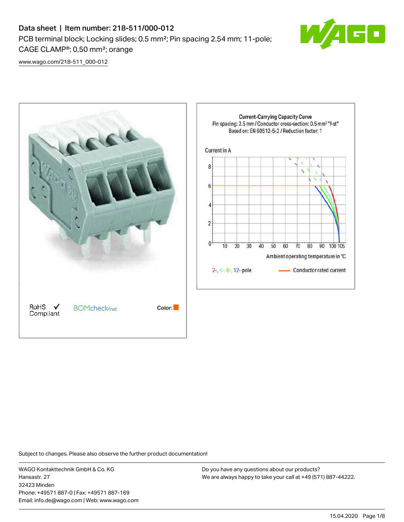# Data sheet | Item number: 218-511/000-012 PCB terminal block; Locking slides; 0.5 mm²; Pin spacing 2.54 mm; 11-pole; CAGE CLAMP®; 0,50 mm²; orange



[www.wago.com/218-511\\_000-012](http://www.wago.com/218-511_000-012)



Subject to changes. Please also observe the further product documentation!

WAGO Kontakttechnik GmbH & Co. KG Hansastr. 27 32423 Minden Phone: +49571 887-0 | Fax: +49571 887-169 Email: info.de@wago.com | Web: www.wago.com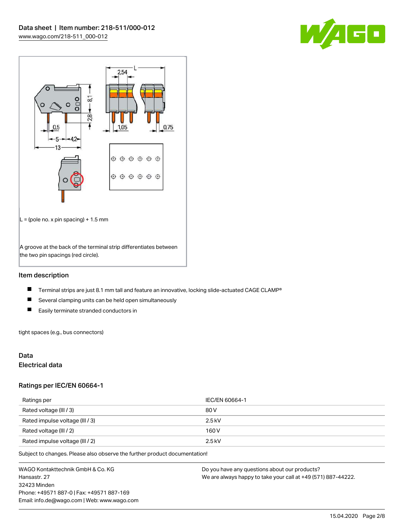



## Item description

- $\blacksquare$ Terminal strips are just 8.1 mm tall and feature an innovative, locking slide-actuated CAGE CLAMP®
- $\blacksquare$ Several clamping units can be held open simultaneously
- $\blacksquare$ Easily terminate stranded conductors in

tight spaces (e.g., bus connectors)

## Data

#### Electrical data

#### Ratings per IEC/EN 60664-1

| Ratings per                     | IEC/EN 60664-1 |
|---------------------------------|----------------|
| Rated voltage (III / 3)         | 80 V           |
| Rated impulse voltage (III / 3) | $2.5$ kV       |
| Rated voltage (III / 2)         | 160 V          |
| Rated impulse voltage (III / 2) | $2.5$ kV       |

Subject to changes. Please also observe the further product documentation!

WAGO Kontakttechnik GmbH & Co. KG Hansastr. 27 32423 Minden Phone: +49571 887-0 | Fax: +49571 887-169 Email: info.de@wago.com | Web: www.wago.com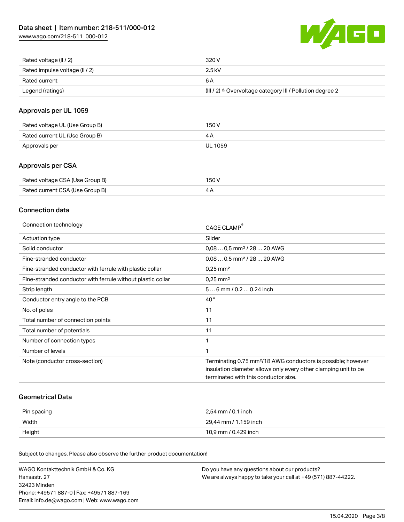[www.wago.com/218-511\\_000-012](http://www.wago.com/218-511_000-012)



| Rated voltage (II / 2)         | 320 V                                                                 |
|--------------------------------|-----------------------------------------------------------------------|
| Rated impulse voltage (II / 2) | 2.5 kV                                                                |
| Rated current                  | 6 A                                                                   |
| Legend (ratings)               | $(III / 2)$ $\triangle$ Overvoltage category III / Pollution degree 2 |

## Approvals per UL 1059

| Rated voltage UL (Use Group B) | 150 V   |
|--------------------------------|---------|
| Rated current UL (Use Group B) |         |
| Approvals per                  | UL 1059 |

## Approvals per CSA

| Rated voltage CSA (Use Group B) | 150 V |
|---------------------------------|-------|
| Rated current CSA (Use Group B) |       |

## Connection data

| Connection technology                                       | CAGE CLAMP                                                                                                                                                                          |
|-------------------------------------------------------------|-------------------------------------------------------------------------------------------------------------------------------------------------------------------------------------|
| Actuation type                                              | Slider                                                                                                                                                                              |
| Solid conductor                                             | $0.080.5$ mm <sup>2</sup> / 28  20 AWG                                                                                                                                              |
| Fine-stranded conductor                                     | $0.080.5$ mm <sup>2</sup> / 28  20 AWG                                                                                                                                              |
| Fine-stranded conductor with ferrule with plastic collar    | $0.25$ mm <sup>2</sup>                                                                                                                                                              |
| Fine-stranded conductor with ferrule without plastic collar | $0.25$ mm <sup>2</sup>                                                                                                                                                              |
| Strip length                                                | $56$ mm $/ 0.20.24$ inch                                                                                                                                                            |
| Conductor entry angle to the PCB                            | $40^{\circ}$                                                                                                                                                                        |
| No. of poles                                                | 11                                                                                                                                                                                  |
| Total number of connection points                           | 11                                                                                                                                                                                  |
| Total number of potentials                                  | 11                                                                                                                                                                                  |
| Number of connection types                                  |                                                                                                                                                                                     |
| Number of levels                                            | 1                                                                                                                                                                                   |
| Note (conductor cross-section)                              | Terminating 0.75 mm <sup>2</sup> /18 AWG conductors is possible; however<br>insulation diameter allows only every other clamping unit to be<br>terminated with this conductor size. |

#### Geometrical Data

| Pin spacing | 2,54 mm / 0.1 inch    |
|-------------|-----------------------|
| Width       | 29.44 mm / 1.159 inch |
| Height      | 10,9 mm / 0.429 inch  |

Subject to changes. Please also observe the further product documentation!

| WAGO Kontakttechnik GmbH & Co. KG           | Do you have any questions about our products?                 |
|---------------------------------------------|---------------------------------------------------------------|
| Hansastr. 27                                | We are always happy to take your call at +49 (571) 887-44222. |
| 32423 Minden                                |                                                               |
| Phone: +49571 887-01 Fax: +49571 887-169    |                                                               |
| Email: info.de@wago.com   Web: www.wago.com |                                                               |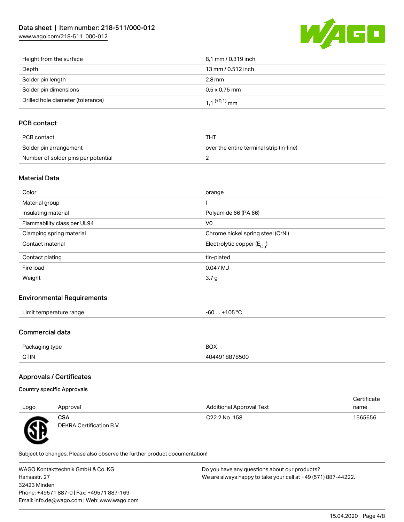[www.wago.com/218-511\\_000-012](http://www.wago.com/218-511_000-012)



| Height from the surface           | 8,1 mm / 0.319 inch        |
|-----------------------------------|----------------------------|
| Depth                             | 13 mm / 0.512 inch         |
| Solder pin length                 | 2.8 mm                     |
| Solder pin dimensions             | $0.5 \times 0.75$ mm       |
| Drilled hole diameter (tolerance) | $1.1$ <sup>(+0,1)</sup> mm |

# PCB contact

| PCB contact                         | THT                                      |
|-------------------------------------|------------------------------------------|
| Solder pin arrangement              | over the entire terminal strip (in-line) |
| Number of solder pins per potential |                                          |

#### Material Data

| Color                       | orange                                 |
|-----------------------------|----------------------------------------|
| Material group              |                                        |
| Insulating material         | Polyamide 66 (PA 66)                   |
| Flammability class per UL94 | V <sub>0</sub>                         |
| Clamping spring material    | Chrome nickel spring steel (CrNi)      |
| Contact material            | Electrolytic copper (E <sub>Cu</sub> ) |
| Contact plating             | tin-plated                             |
| Fire load                   | 0.047 MJ                               |
| Weight                      | 3.7 <sub>g</sub>                       |
|                             |                                        |

#### Environmental Requirements

| $\cdots$            |        |
|---------------------|--------|
| * temperature range | 105 °C |
| ∟imit∴              | -n     |
|                     | w      |
|                     |        |

# Commercial data

| D <sub>2</sub> | <b>BOX</b> |
|----------------|------------|
| ckadind type   |            |
| <b>GTIN</b>    | 78500      |

# Approvals / Certificates

| Country specific Approvals |  |
|----------------------------|--|
|                            |  |

| Logo      | Approval                               | <b>Additional Approval Text</b> | Certificate<br>name |
|-----------|----------------------------------------|---------------------------------|---------------------|
|           |                                        |                                 |                     |
| <b>RE</b> | <b>CSA</b><br>DEKRA Certification B.V. | C <sub>22.2</sub> No. 158       | 1565656             |

Subject to changes. Please also observe the further product documentation!

WAGO Kontakttechnik GmbH & Co. KG Hansastr. 27 32423 Minden Phone: +49571 887-0 | Fax: +49571 887-169 Email: info.de@wago.com | Web: www.wago.com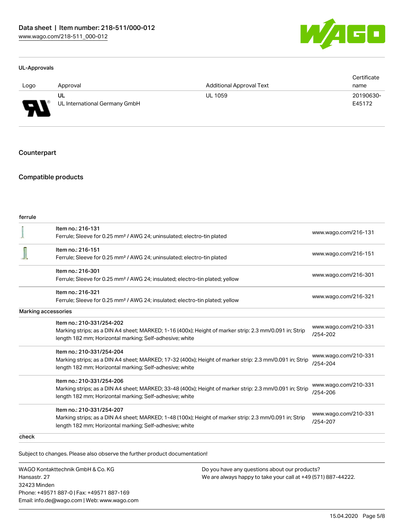

#### UL-Approvals

|          |                                     |                                 | Certificate         |
|----------|-------------------------------------|---------------------------------|---------------------|
| Logo     | Approval                            | <b>Additional Approval Text</b> | name                |
| J<br>. . | UL<br>UL International Germany GmbH | <b>UL 1059</b>                  | 20190630-<br>E45172 |

#### **Counterpart**

#### Compatible products

| ferrule             |                                                                                                         |                                      |  |
|---------------------|---------------------------------------------------------------------------------------------------------|--------------------------------------|--|
|                     | Item no.: 216-131                                                                                       | www.wago.com/216-131                 |  |
|                     | Ferrule; Sleeve for 0.25 mm <sup>2</sup> / AWG 24; uninsulated; electro-tin plated                      |                                      |  |
|                     | Item no.: 216-151                                                                                       | www.wago.com/216-151                 |  |
|                     | Ferrule; Sleeve for 0.25 mm <sup>2</sup> / AWG 24; uninsulated; electro-tin plated                      |                                      |  |
|                     | Item no.: 216-301                                                                                       |                                      |  |
|                     | Ferrule; Sleeve for 0.25 mm <sup>2</sup> / AWG 24; insulated; electro-tin plated; yellow                | www.wago.com/216-301                 |  |
|                     | Item no.: 216-321                                                                                       |                                      |  |
|                     | Ferrule; Sleeve for 0.25 mm <sup>2</sup> / AWG 24; insulated; electro-tin plated; yellow                | www.wago.com/216-321                 |  |
| Marking accessories |                                                                                                         |                                      |  |
|                     | Item no.: 210-331/254-202                                                                               | www.wago.com/210-331                 |  |
|                     | Marking strips; as a DIN A4 sheet; MARKED; 1-16 (400x); Height of marker strip: 2.3 mm/0.091 in; Strip  | $/254 - 202$                         |  |
|                     | length 182 mm; Horizontal marking; Self-adhesive; white                                                 |                                      |  |
|                     | Item no.: 210-331/254-204                                                                               |                                      |  |
|                     | Marking strips; as a DIN A4 sheet; MARKED; 17-32 (400x); Height of marker strip: 2.3 mm/0.091 in; Strip | www.wago.com/210-331<br>$/254 - 204$ |  |
|                     | length 182 mm; Horizontal marking; Self-adhesive; white                                                 |                                      |  |
|                     | Item no.: 210-331/254-206                                                                               |                                      |  |
|                     | Marking strips; as a DIN A4 sheet; MARKED; 33-48 (400x); Height of marker strip: 2.3 mm/0.091 in; Strip | www.wago.com/210-331                 |  |
|                     | length 182 mm; Horizontal marking; Self-adhesive; white                                                 | /254-206                             |  |
|                     | Item no.: 210-331/254-207                                                                               |                                      |  |
|                     | Marking strips; as a DIN A4 sheet; MARKED; 1-48 (100x); Height of marker strip: 2.3 mm/0.091 in; Strip  | www.wago.com/210-331<br>/254-207     |  |
|                     | length 182 mm; Horizontal marking; Self-adhesive; white                                                 |                                      |  |
| check               |                                                                                                         |                                      |  |

Subject to changes. Please also observe the further product documentation!

WAGO Kontakttechnik GmbH & Co. KG Hansastr. 27 32423 Minden Phone: +49571 887-0 | Fax: +49571 887-169 Email: info.de@wago.com | Web: www.wago.com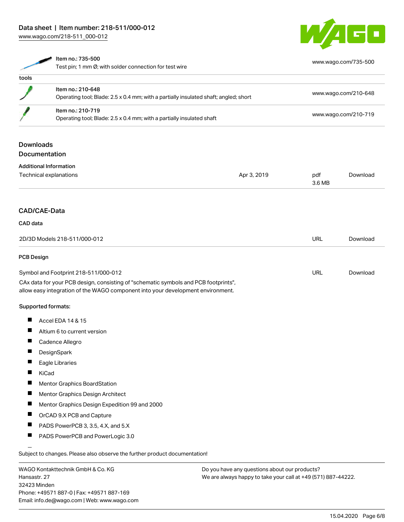[www.wago.com/218-511\\_000-012](http://www.wago.com/218-511_000-012)



|                                                                                                                                                                        | Item no.: 735-500<br>Test pin; 1 mm Ø; with solder connection for test wire                               |             |                      | www.wago.com/735-500 |  |
|------------------------------------------------------------------------------------------------------------------------------------------------------------------------|-----------------------------------------------------------------------------------------------------------|-------------|----------------------|----------------------|--|
| tools                                                                                                                                                                  |                                                                                                           |             |                      |                      |  |
|                                                                                                                                                                        | Item no.: 210-648<br>Operating tool; Blade: 2.5 x 0.4 mm; with a partially insulated shaft; angled; short |             | www.wago.com/210-648 |                      |  |
|                                                                                                                                                                        | Item no.: 210-719<br>Operating tool; Blade: 2.5 x 0.4 mm; with a partially insulated shaft                |             |                      | www.wago.com/210-719 |  |
| <b>Downloads</b>                                                                                                                                                       | <b>Documentation</b>                                                                                      |             |                      |                      |  |
|                                                                                                                                                                        | <b>Additional Information</b><br>Technical explanations                                                   | Apr 3, 2019 | pdf<br>3.6 MB        | Download             |  |
|                                                                                                                                                                        | CAD/CAE-Data                                                                                              |             |                      |                      |  |
| CAD data                                                                                                                                                               | 2D/3D Models 218-511/000-012                                                                              |             | <b>URL</b>           | Download             |  |
| PCB Design                                                                                                                                                             |                                                                                                           |             |                      |                      |  |
|                                                                                                                                                                        | Symbol and Footprint 218-511/000-012                                                                      |             | <b>URL</b>           | Download             |  |
| CAx data for your PCB design, consisting of "schematic symbols and PCB footprints",<br>allow easy integration of the WAGO component into your development environment. |                                                                                                           |             |                      |                      |  |
|                                                                                                                                                                        | Supported formats:                                                                                        |             |                      |                      |  |
|                                                                                                                                                                        | Accel EDA 14 & 15                                                                                         |             |                      |                      |  |
|                                                                                                                                                                        | Altium 6 to current version                                                                               |             |                      |                      |  |
|                                                                                                                                                                        | Cadence Allegro                                                                                           |             |                      |                      |  |
|                                                                                                                                                                        | DesignSpark                                                                                               |             |                      |                      |  |
|                                                                                                                                                                        | Eagle Libraries                                                                                           |             |                      |                      |  |
|                                                                                                                                                                        | KiCad                                                                                                     |             |                      |                      |  |
|                                                                                                                                                                        | Mentor Graphics BoardStation                                                                              |             |                      |                      |  |
|                                                                                                                                                                        | Mentor Graphics Design Architect                                                                          |             |                      |                      |  |
|                                                                                                                                                                        | Mentor Graphics Design Expedition 99 and 2000                                                             |             |                      |                      |  |
| П                                                                                                                                                                      | OrCAD 9.X PCB and Capture                                                                                 |             |                      |                      |  |
|                                                                                                                                                                        | PADS PowerPCB 3, 3.5, 4.X, and 5.X                                                                        |             |                      |                      |  |
|                                                                                                                                                                        | PADS PowerPCB and PowerLogic 3.0                                                                          |             |                      |                      |  |
| Subject to changes. Please also observe the further product documentation!                                                                                             |                                                                                                           |             |                      |                      |  |

WAGO Kontakttechnik GmbH & Co. KG Hansastr. 27 32423 Minden Phone: +49571 887-0 | Fax: +49571 887-169 Email: info.de@wago.com | Web: www.wago.com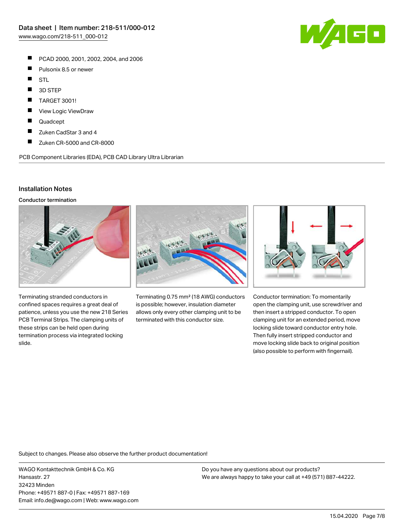- $\blacksquare$ PCAD 2000, 2001, 2002, 2004, and 2006
- $\blacksquare$ Pulsonix 8.5 or newer
- $\blacksquare$ STL
- $\blacksquare$ 3D STEP
- П TARGET 3001!
- П View Logic ViewDraw
- П Quadcept
- $\blacksquare$ Zuken CadStar 3 and 4
- $\blacksquare$ Zuken CR-5000 and CR-8000

PCB Component Libraries (EDA), PCB CAD Library Ultra Librarian

#### Installation Notes

Conductor termination



Terminating stranded conductors in confined spaces requires a great deal of patience, unless you use the new 218 Series PCB Terminal Strips. The clamping units of these strips can be held open during termination process via integrated locking slide.



Terminating 0.75 mm² (18 AWG) conductors is possible; however, insulation diameter allows only every other clamping unit to be terminated with this conductor size.



Conductor termination: To momentarily open the clamping unit, use screwdriver and then insert a stripped conductor. To open clamping unit for an extended period, move locking slide toward conductor entry hole. Then fully insert stripped conductor and move locking slide back to original position (also possible to perform with fingernail).

Subject to changes. Please also observe the further product documentation!

WAGO Kontakttechnik GmbH & Co. KG Hansastr. 27 32423 Minden Phone: +49571 887-0 | Fax: +49571 887-169 Email: info.de@wago.com | Web: www.wago.com